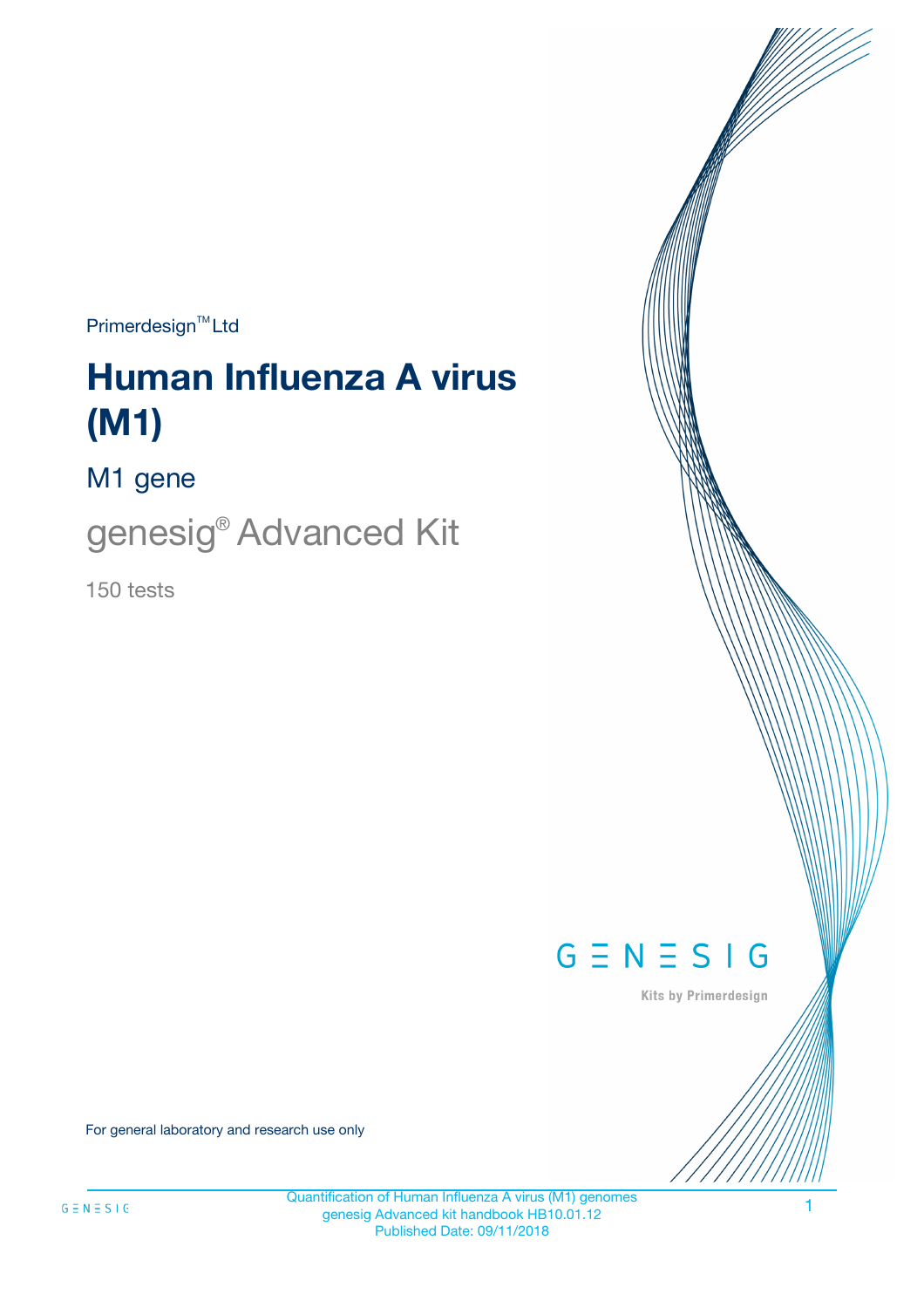$Primerdesign^{\text{TM}}Ltd$ 

# **Human Influenza A virus (M1)**

M1 gene

genesig® Advanced Kit

150 tests



Kits by Primerdesign

For general laboratory and research use only

Quantification of Human Influenza A virus (M1) genomes genesig Advanced kit handbook HB10.01.12 Published Date: 09/11/2018

1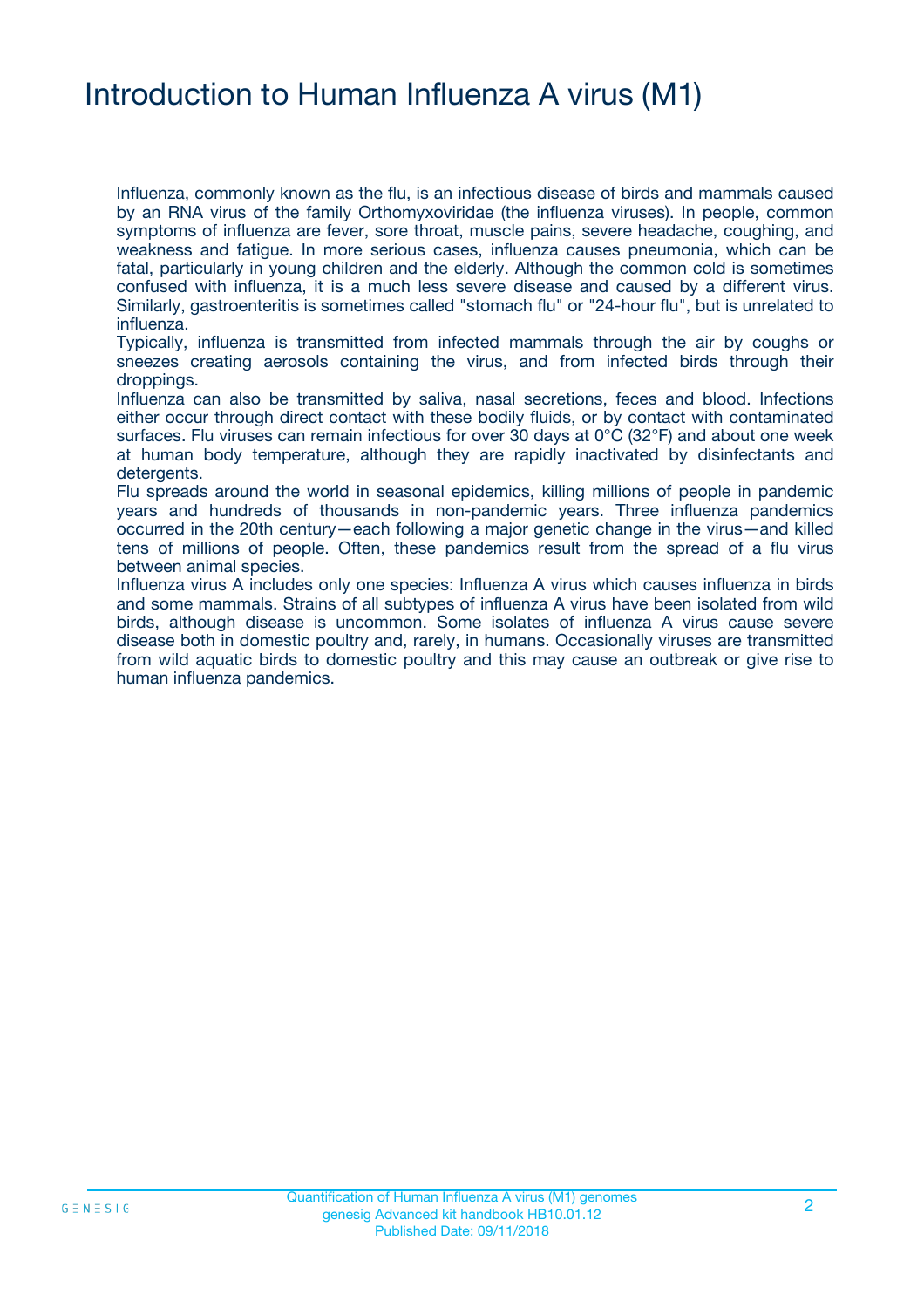### Introduction to Human Influenza A virus (M1)

Influenza, commonly known as the flu, is an infectious disease of birds and mammals caused by an RNA virus of the family Orthomyxoviridae (the influenza viruses). In people, common symptoms of influenza are fever, sore throat, muscle pains, severe headache, coughing, and weakness and fatigue. In more serious cases, influenza causes pneumonia, which can be fatal, particularly in young children and the elderly. Although the common cold is sometimes confused with influenza, it is a much less severe disease and caused by a different virus. Similarly, gastroenteritis is sometimes called "stomach flu" or "24-hour flu", but is unrelated to influenza.

Typically, influenza is transmitted from infected mammals through the air by coughs or sneezes creating aerosols containing the virus, and from infected birds through their droppings.

Influenza can also be transmitted by saliva, nasal secretions, feces and blood. Infections either occur through direct contact with these bodily fluids, or by contact with contaminated surfaces. Flu viruses can remain infectious for over 30 days at 0°C (32°F) and about one week at human body temperature, although they are rapidly inactivated by disinfectants and detergents.

Flu spreads around the world in seasonal epidemics, killing millions of people in pandemic years and hundreds of thousands in non-pandemic years. Three influenza pandemics occurred in the 20th century—each following a major genetic change in the virus—and killed tens of millions of people. Often, these pandemics result from the spread of a flu virus between animal species.

Influenza virus A includes only one species: Influenza A virus which causes influenza in birds and some mammals. Strains of all subtypes of influenza A virus have been isolated from wild birds, although disease is uncommon. Some isolates of influenza A virus cause severe disease both in domestic poultry and, rarely, in humans. Occasionally viruses are transmitted from wild aquatic birds to domestic poultry and this may cause an outbreak or give rise to human influenza pandemics.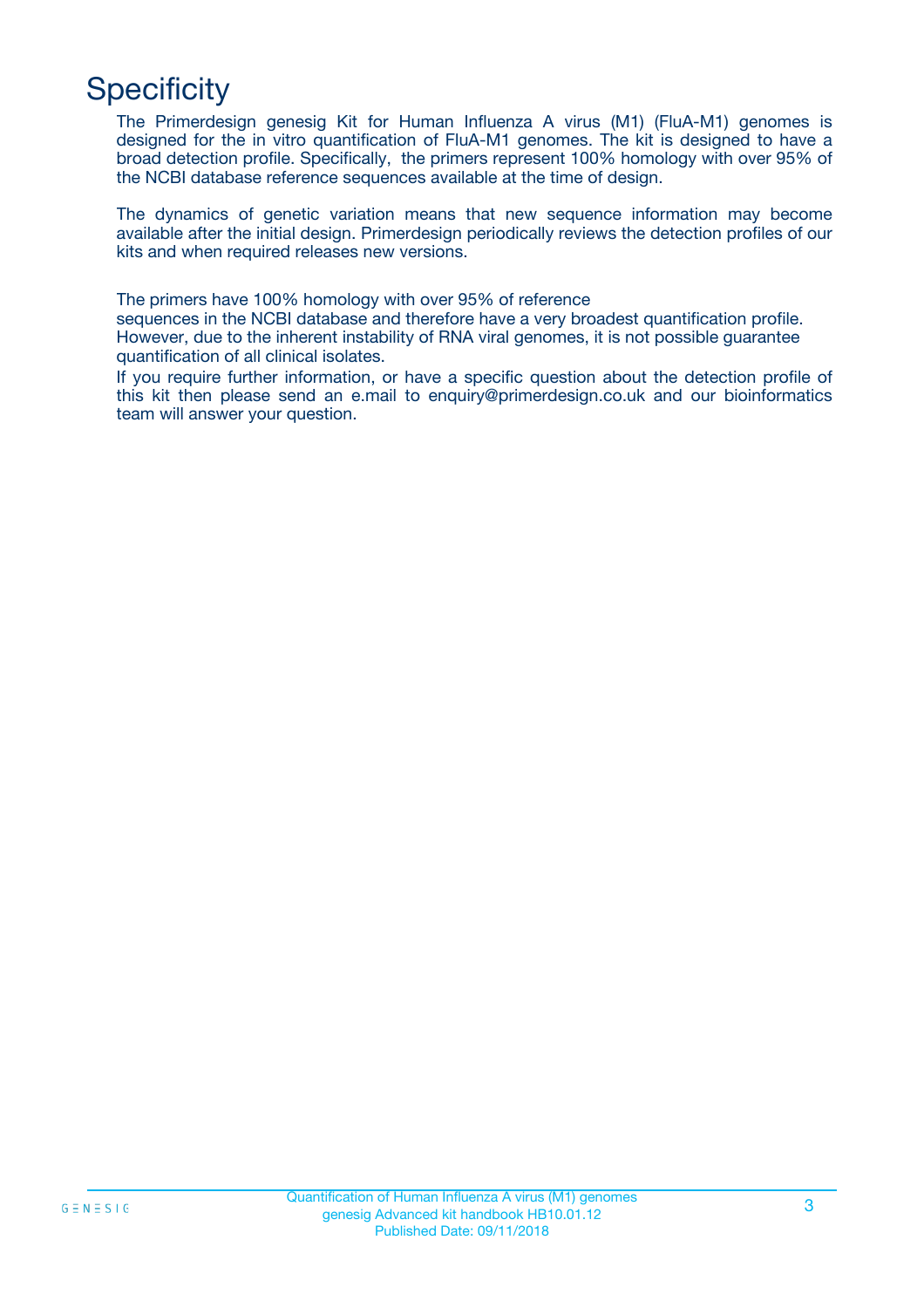## **Specificity**

The Primerdesign genesig Kit for Human Influenza A virus (M1) (FluA-M1) genomes is designed for the in vitro quantification of FluA-M1 genomes. The kit is designed to have a broad detection profile. Specifically, the primers represent 100% homology with over 95% of the NCBI database reference sequences available at the time of design.

The dynamics of genetic variation means that new sequence information may become available after the initial design. Primerdesign periodically reviews the detection profiles of our kits and when required releases new versions.

The primers have 100% homology with over 95% of reference

sequences in the NCBI database and therefore have a very broadest quantification profile. However, due to the inherent instability of RNA viral genomes, it is not possible guarantee quantification of all clinical isolates.

If you require further information, or have a specific question about the detection profile of this kit then please send an e.mail to enquiry@primerdesign.co.uk and our bioinformatics team will answer your question.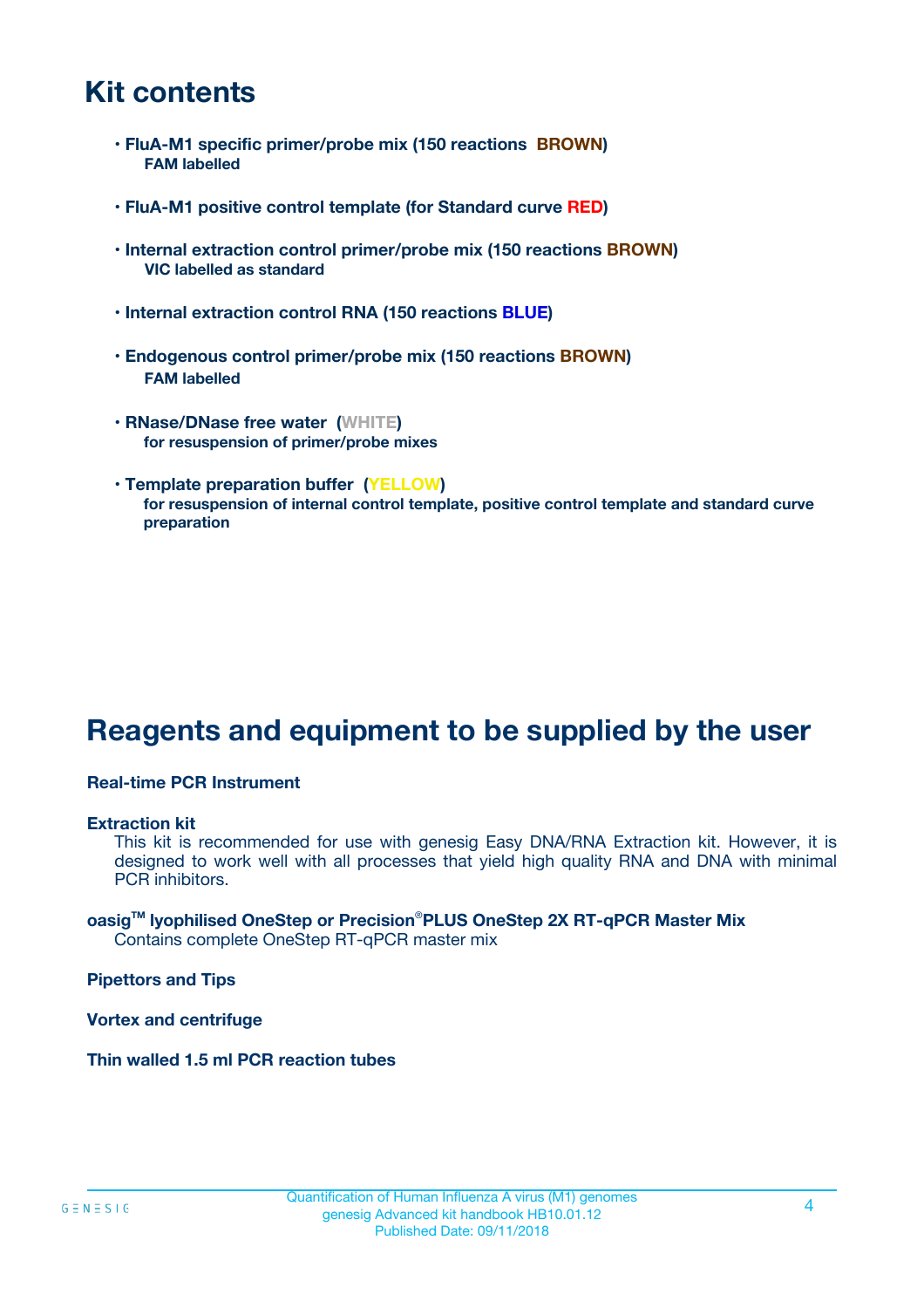### **Kit contents**

- **FluA-M1 specific primer/probe mix (150 reactions BROWN) FAM labelled**
- **FluA-M1 positive control template (for Standard curve RED)**
- **Internal extraction control primer/probe mix (150 reactions BROWN) VIC labelled as standard**
- **Internal extraction control RNA (150 reactions BLUE)**
- **Endogenous control primer/probe mix (150 reactions BROWN) FAM labelled**
- **RNase/DNase free water (WHITE) for resuspension of primer/probe mixes**
- **Template preparation buffer (YELLOW) for resuspension of internal control template, positive control template and standard curve preparation**

### **Reagents and equipment to be supplied by the user**

#### **Real-time PCR Instrument**

#### **Extraction kit**

This kit is recommended for use with genesig Easy DNA/RNA Extraction kit. However, it is designed to work well with all processes that yield high quality RNA and DNA with minimal PCR inhibitors.

#### **oasigTM lyophilised OneStep or Precision**®**PLUS OneStep 2X RT-qPCR Master Mix** Contains complete OneStep RT-qPCR master mix

**Pipettors and Tips**

**Vortex and centrifuge**

**Thin walled 1.5 ml PCR reaction tubes**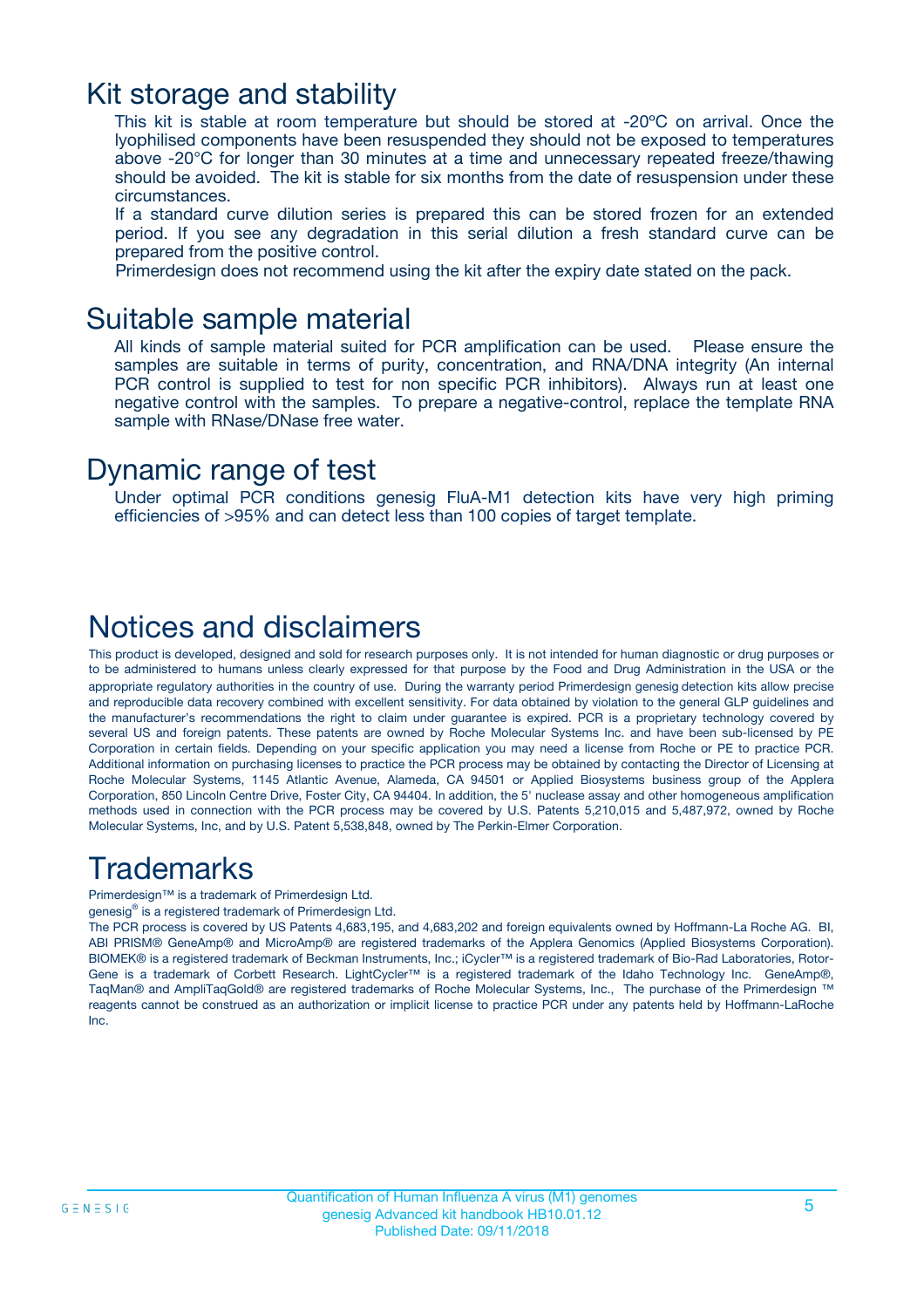### Kit storage and stability

This kit is stable at room temperature but should be stored at -20ºC on arrival. Once the lyophilised components have been resuspended they should not be exposed to temperatures above -20°C for longer than 30 minutes at a time and unnecessary repeated freeze/thawing should be avoided. The kit is stable for six months from the date of resuspension under these circumstances.

If a standard curve dilution series is prepared this can be stored frozen for an extended period. If you see any degradation in this serial dilution a fresh standard curve can be prepared from the positive control.

Primerdesign does not recommend using the kit after the expiry date stated on the pack.

### Suitable sample material

All kinds of sample material suited for PCR amplification can be used. Please ensure the samples are suitable in terms of purity, concentration, and RNA/DNA integrity (An internal PCR control is supplied to test for non specific PCR inhibitors). Always run at least one negative control with the samples. To prepare a negative-control, replace the template RNA sample with RNase/DNase free water.

### Dynamic range of test

Under optimal PCR conditions genesig FluA-M1 detection kits have very high priming efficiencies of >95% and can detect less than 100 copies of target template.

### Notices and disclaimers

This product is developed, designed and sold for research purposes only. It is not intended for human diagnostic or drug purposes or to be administered to humans unless clearly expressed for that purpose by the Food and Drug Administration in the USA or the appropriate regulatory authorities in the country of use. During the warranty period Primerdesign genesig detection kits allow precise and reproducible data recovery combined with excellent sensitivity. For data obtained by violation to the general GLP guidelines and the manufacturer's recommendations the right to claim under guarantee is expired. PCR is a proprietary technology covered by several US and foreign patents. These patents are owned by Roche Molecular Systems Inc. and have been sub-licensed by PE Corporation in certain fields. Depending on your specific application you may need a license from Roche or PE to practice PCR. Additional information on purchasing licenses to practice the PCR process may be obtained by contacting the Director of Licensing at Roche Molecular Systems, 1145 Atlantic Avenue, Alameda, CA 94501 or Applied Biosystems business group of the Applera Corporation, 850 Lincoln Centre Drive, Foster City, CA 94404. In addition, the 5' nuclease assay and other homogeneous amplification methods used in connection with the PCR process may be covered by U.S. Patents 5,210,015 and 5,487,972, owned by Roche Molecular Systems, Inc, and by U.S. Patent 5,538,848, owned by The Perkin-Elmer Corporation.

### Trademarks

Primerdesign™ is a trademark of Primerdesign Ltd.

genesig® is a registered trademark of Primerdesign Ltd.

The PCR process is covered by US Patents 4,683,195, and 4,683,202 and foreign equivalents owned by Hoffmann-La Roche AG. BI, ABI PRISM® GeneAmp® and MicroAmp® are registered trademarks of the Applera Genomics (Applied Biosystems Corporation). BIOMEK® is a registered trademark of Beckman Instruments, Inc.; iCycler™ is a registered trademark of Bio-Rad Laboratories, Rotor-Gene is a trademark of Corbett Research. LightCycler™ is a registered trademark of the Idaho Technology Inc. GeneAmp®, TaqMan® and AmpliTaqGold® are registered trademarks of Roche Molecular Systems, Inc., The purchase of the Primerdesign ™ reagents cannot be construed as an authorization or implicit license to practice PCR under any patents held by Hoffmann-LaRoche Inc.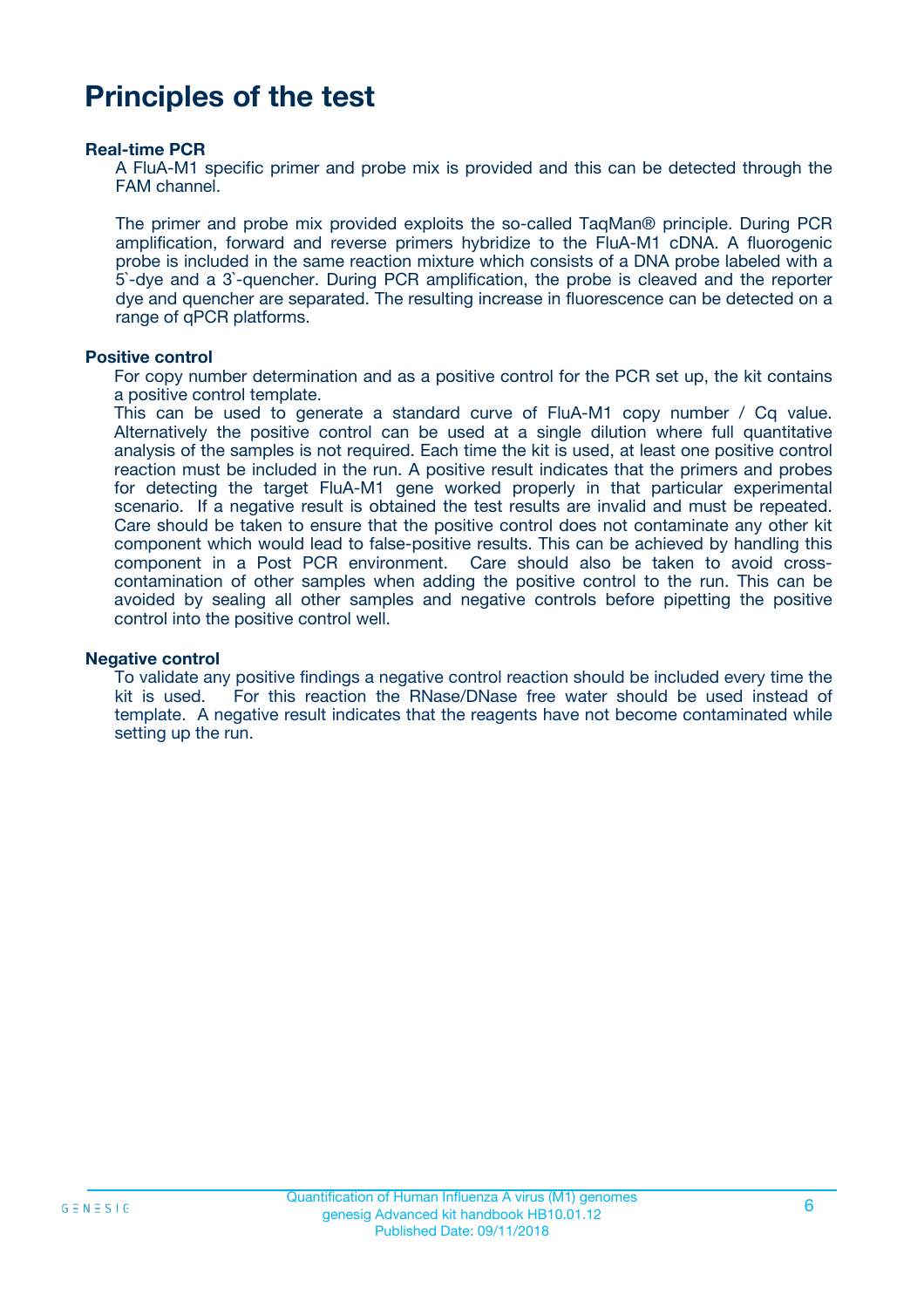### **Principles of the test**

#### **Real-time PCR**

A FluA-M1 specific primer and probe mix is provided and this can be detected through the FAM channel.

The primer and probe mix provided exploits the so-called TaqMan® principle. During PCR amplification, forward and reverse primers hybridize to the FluA-M1 cDNA. A fluorogenic probe is included in the same reaction mixture which consists of a DNA probe labeled with a 5`-dye and a 3`-quencher. During PCR amplification, the probe is cleaved and the reporter dye and quencher are separated. The resulting increase in fluorescence can be detected on a range of qPCR platforms.

#### **Positive control**

For copy number determination and as a positive control for the PCR set up, the kit contains a positive control template.

This can be used to generate a standard curve of FluA-M1 copy number / Cq value. Alternatively the positive control can be used at a single dilution where full quantitative analysis of the samples is not required. Each time the kit is used, at least one positive control reaction must be included in the run. A positive result indicates that the primers and probes for detecting the target FluA-M1 gene worked properly in that particular experimental scenario. If a negative result is obtained the test results are invalid and must be repeated. Care should be taken to ensure that the positive control does not contaminate any other kit component which would lead to false-positive results. This can be achieved by handling this component in a Post PCR environment. Care should also be taken to avoid crosscontamination of other samples when adding the positive control to the run. This can be avoided by sealing all other samples and negative controls before pipetting the positive control into the positive control well.

#### **Negative control**

To validate any positive findings a negative control reaction should be included every time the kit is used. For this reaction the RNase/DNase free water should be used instead of template. A negative result indicates that the reagents have not become contaminated while setting up the run.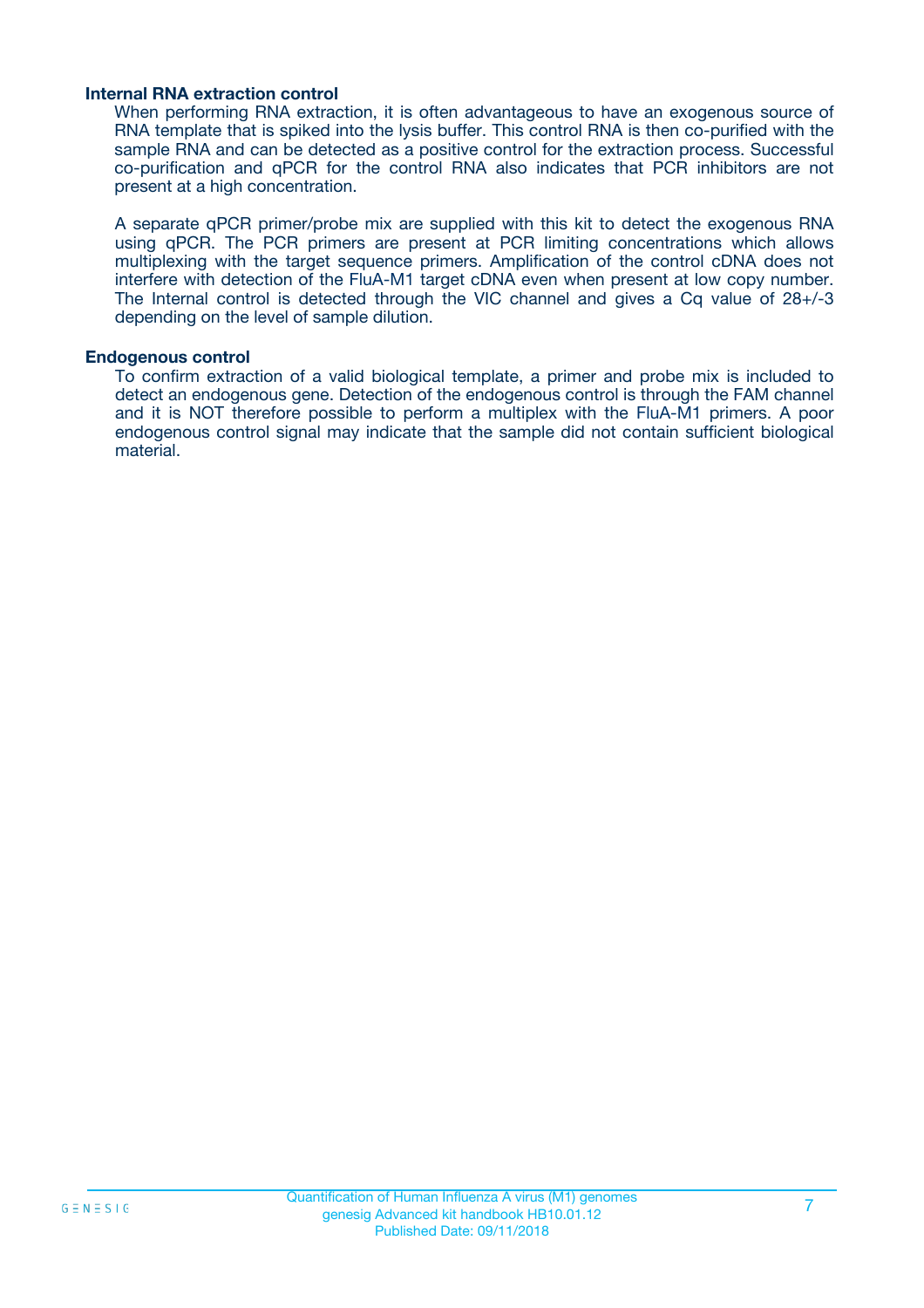#### **Internal RNA extraction control**

When performing RNA extraction, it is often advantageous to have an exogenous source of RNA template that is spiked into the lysis buffer. This control RNA is then co-purified with the sample RNA and can be detected as a positive control for the extraction process. Successful co-purification and qPCR for the control RNA also indicates that PCR inhibitors are not present at a high concentration.

A separate qPCR primer/probe mix are supplied with this kit to detect the exogenous RNA using qPCR. The PCR primers are present at PCR limiting concentrations which allows multiplexing with the target sequence primers. Amplification of the control cDNA does not interfere with detection of the FluA-M1 target cDNA even when present at low copy number. The Internal control is detected through the VIC channel and gives a Cq value of 28+/-3 depending on the level of sample dilution.

#### **Endogenous control**

To confirm extraction of a valid biological template, a primer and probe mix is included to detect an endogenous gene. Detection of the endogenous control is through the FAM channel and it is NOT therefore possible to perform a multiplex with the FluA-M1 primers. A poor endogenous control signal may indicate that the sample did not contain sufficient biological material.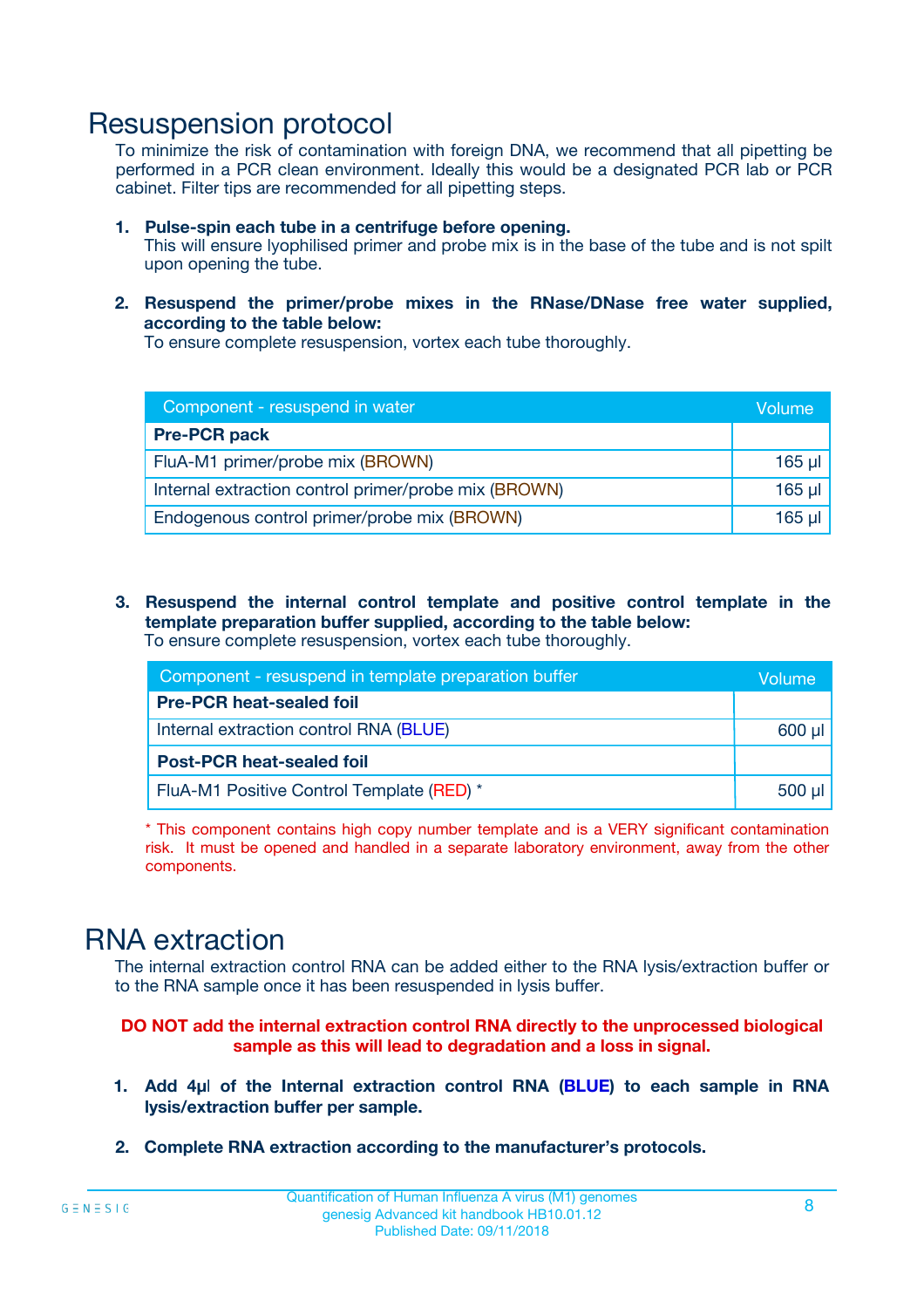### Resuspension protocol

To minimize the risk of contamination with foreign DNA, we recommend that all pipetting be performed in a PCR clean environment. Ideally this would be a designated PCR lab or PCR cabinet. Filter tips are recommended for all pipetting steps.

- **1. Pulse-spin each tube in a centrifuge before opening.** This will ensure lyophilised primer and probe mix is in the base of the tube and is not spilt upon opening the tube.
- **2. Resuspend the primer/probe mixes in the RNase/DNase free water supplied, according to the table below:**

To ensure complete resuspension, vortex each tube thoroughly.

| Component - resuspend in water                       | Volume   |
|------------------------------------------------------|----------|
| <b>Pre-PCR pack</b>                                  |          |
| FluA-M1 primer/probe mix (BROWN)                     | $165$ µl |
| Internal extraction control primer/probe mix (BROWN) | $165$ µl |
| Endogenous control primer/probe mix (BROWN)          | 165 µl   |

**3. Resuspend the internal control template and positive control template in the template preparation buffer supplied, according to the table below:** To ensure complete resuspension, vortex each tube thoroughly.

| Component - resuspend in template preparation buffer |  |  |  |
|------------------------------------------------------|--|--|--|
| <b>Pre-PCR heat-sealed foil</b>                      |  |  |  |
| Internal extraction control RNA (BLUE)               |  |  |  |
| <b>Post-PCR heat-sealed foil</b>                     |  |  |  |
| FluA-M1 Positive Control Template (RED) *            |  |  |  |

\* This component contains high copy number template and is a VERY significant contamination risk. It must be opened and handled in a separate laboratory environment, away from the other components.

### RNA extraction

The internal extraction control RNA can be added either to the RNA lysis/extraction buffer or to the RNA sample once it has been resuspended in lysis buffer.

**DO NOT add the internal extraction control RNA directly to the unprocessed biological sample as this will lead to degradation and a loss in signal.**

- **1. Add 4µ**l **of the Internal extraction control RNA (BLUE) to each sample in RNA lysis/extraction buffer per sample.**
- **2. Complete RNA extraction according to the manufacturer's protocols.**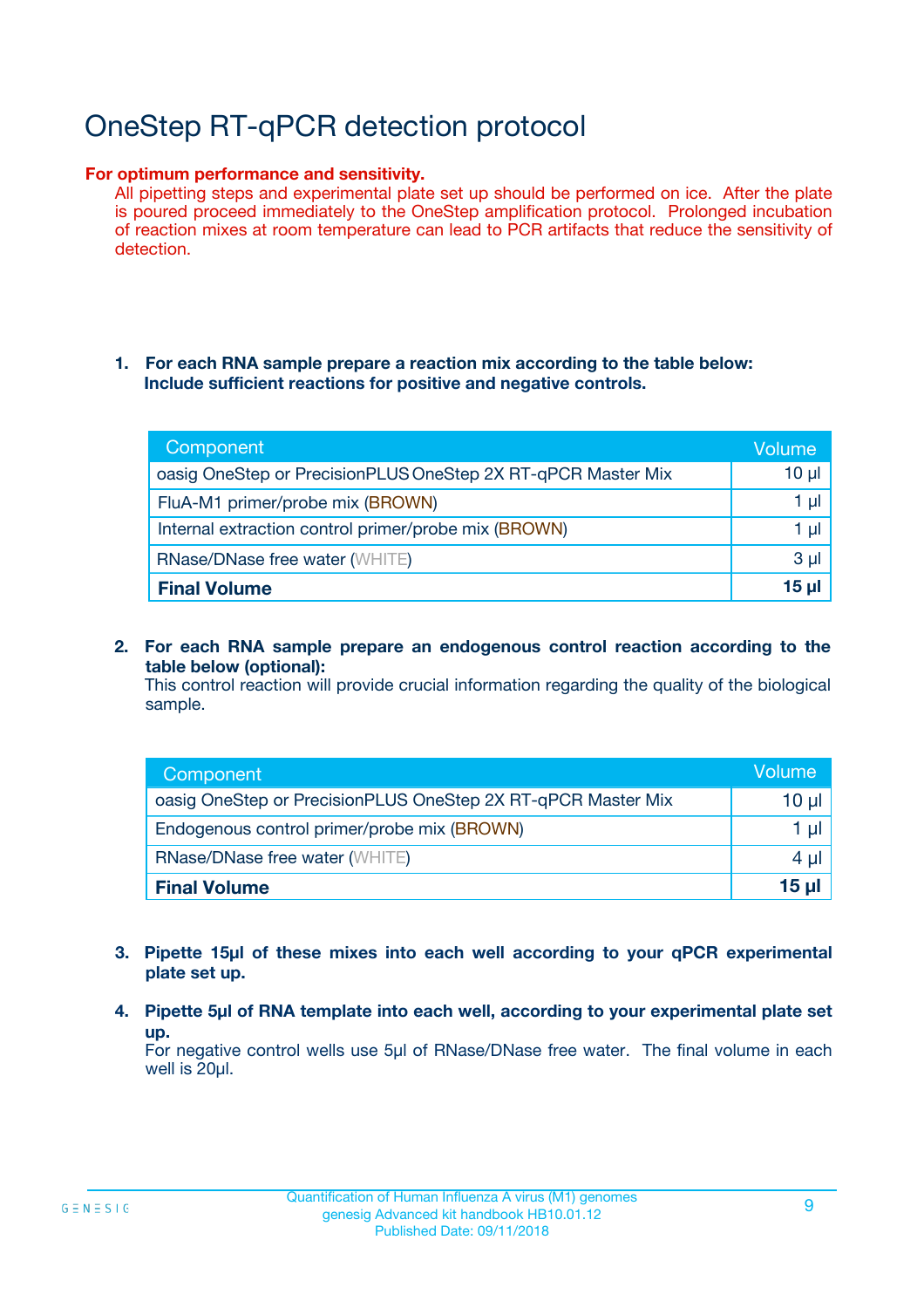# OneStep RT-qPCR detection protocol

#### **For optimum performance and sensitivity.**

All pipetting steps and experimental plate set up should be performed on ice. After the plate is poured proceed immediately to the OneStep amplification protocol. Prolonged incubation of reaction mixes at room temperature can lead to PCR artifacts that reduce the sensitivity of detection.

#### **1. For each RNA sample prepare a reaction mix according to the table below: Include sufficient reactions for positive and negative controls.**

| Component                                                    | <b>Volume</b> |
|--------------------------------------------------------------|---------------|
| oasig OneStep or PrecisionPLUS OneStep 2X RT-qPCR Master Mix | $10 \mu$      |
| FluA-M1 primer/probe mix (BROWN)                             | 1 µI          |
| Internal extraction control primer/probe mix (BROWN)         | 1 µI          |
| <b>RNase/DNase free water (WHITE)</b>                        | $3 \mu$       |
| <b>Final Volume</b>                                          | 15 µl         |

**2. For each RNA sample prepare an endogenous control reaction according to the table below (optional):**

This control reaction will provide crucial information regarding the quality of the biological sample.

| Component                                                    | Volume   |
|--------------------------------------------------------------|----------|
| oasig OneStep or PrecisionPLUS OneStep 2X RT-qPCR Master Mix | 10 $\mu$ |
| Endogenous control primer/probe mix (BROWN)                  | 1 ul     |
| <b>RNase/DNase free water (WHITE)</b>                        | $4 \mu$  |
| <b>Final Volume</b>                                          | 15 µl    |

- **3. Pipette 15µl of these mixes into each well according to your qPCR experimental plate set up.**
- **4. Pipette 5µl of RNA template into each well, according to your experimental plate set up.**

For negative control wells use 5µl of RNase/DNase free water. The final volume in each well is 20µl.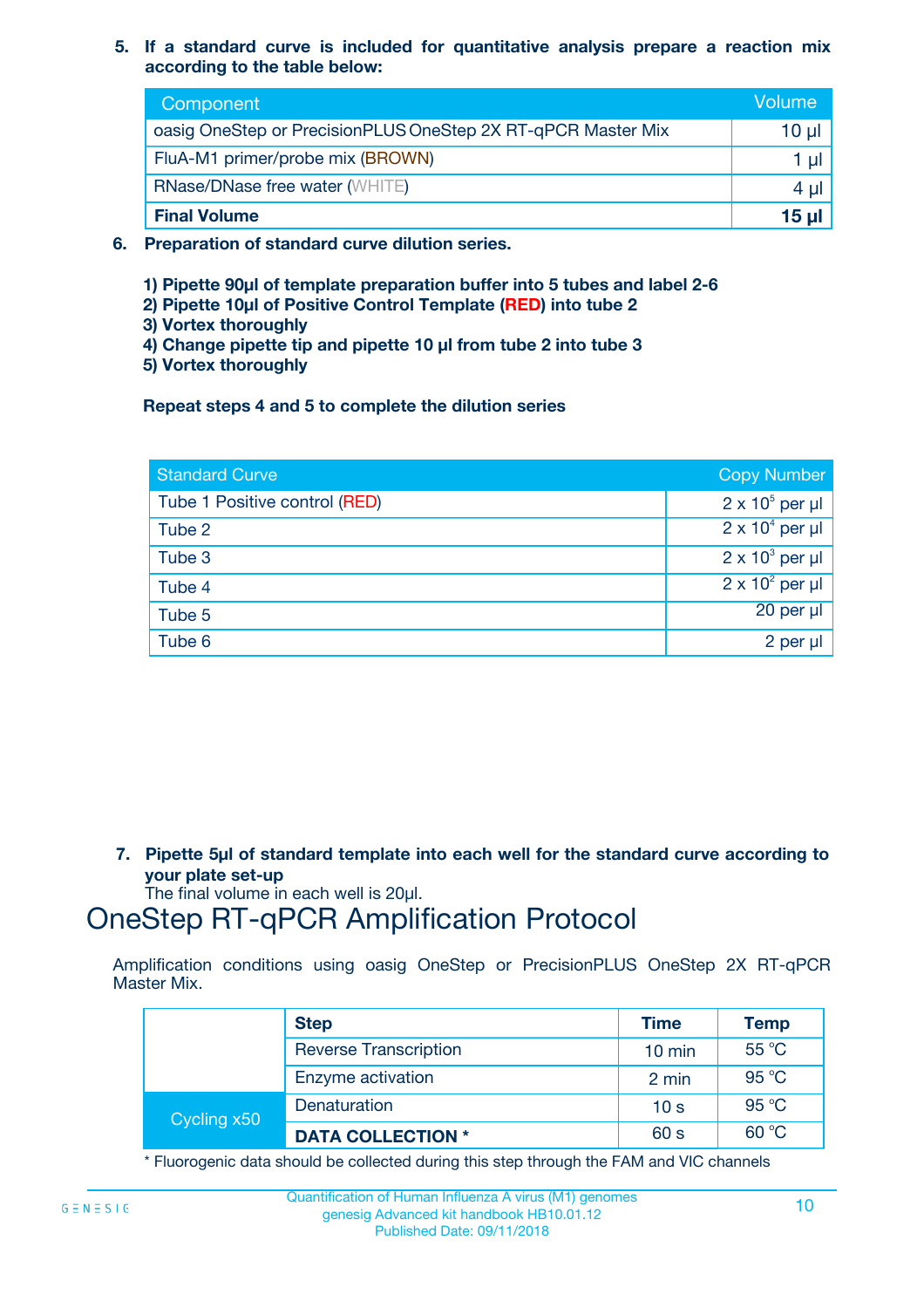**5. If a standard curve is included for quantitative analysis prepare a reaction mix according to the table below:**

| Component                                                    | Volume       |
|--------------------------------------------------------------|--------------|
| oasig OneStep or PrecisionPLUS OneStep 2X RT-qPCR Master Mix | $10 \mu$     |
| FluA-M1 primer/probe mix (BROWN)                             |              |
| <b>RNase/DNase free water (WHITE)</b>                        | 4 U          |
| <b>Final Volume</b>                                          | <u>15 µl</u> |

- **6. Preparation of standard curve dilution series.**
	- **1) Pipette 90µl of template preparation buffer into 5 tubes and label 2-6**
	- **2) Pipette 10µl of Positive Control Template (RED) into tube 2**
	- **3) Vortex thoroughly**
	- **4) Change pipette tip and pipette 10 µl from tube 2 into tube 3**
	- **5) Vortex thoroughly**

**Repeat steps 4 and 5 to complete the dilution series**

| <b>Standard Curve</b>         | <b>Copy Number</b>     |
|-------------------------------|------------------------|
| Tube 1 Positive control (RED) | $2 \times 10^5$ per µl |
| Tube 2                        | $2 \times 10^4$ per µl |
| Tube 3                        | $2 \times 10^3$ per µl |
| Tube 4                        | $2 \times 10^2$ per µl |
| Tube 5                        | 20 per µl              |
| Tube 6                        | 2 per µl               |

**7. Pipette 5µl of standard template into each well for the standard curve according to your plate set-up**

The final volume in each well is 20µl.

### OneStep RT-qPCR Amplification Protocol

Amplification conditions using oasig OneStep or PrecisionPLUS OneStep 2X RT-qPCR Master Mix.

|             | <b>Step</b>                  | <b>Time</b>      | <b>Temp</b> |
|-------------|------------------------------|------------------|-------------|
|             | <b>Reverse Transcription</b> | $10 \text{ min}$ | 55 °C       |
|             | Enzyme activation            | 2 min            | 95 °C       |
| Cycling x50 | Denaturation                 | 10 <sub>s</sub>  | 95 °C       |
|             | <b>DATA COLLECTION *</b>     | 60 s             | 60 °C       |

\* Fluorogenic data should be collected during this step through the FAM and VIC channels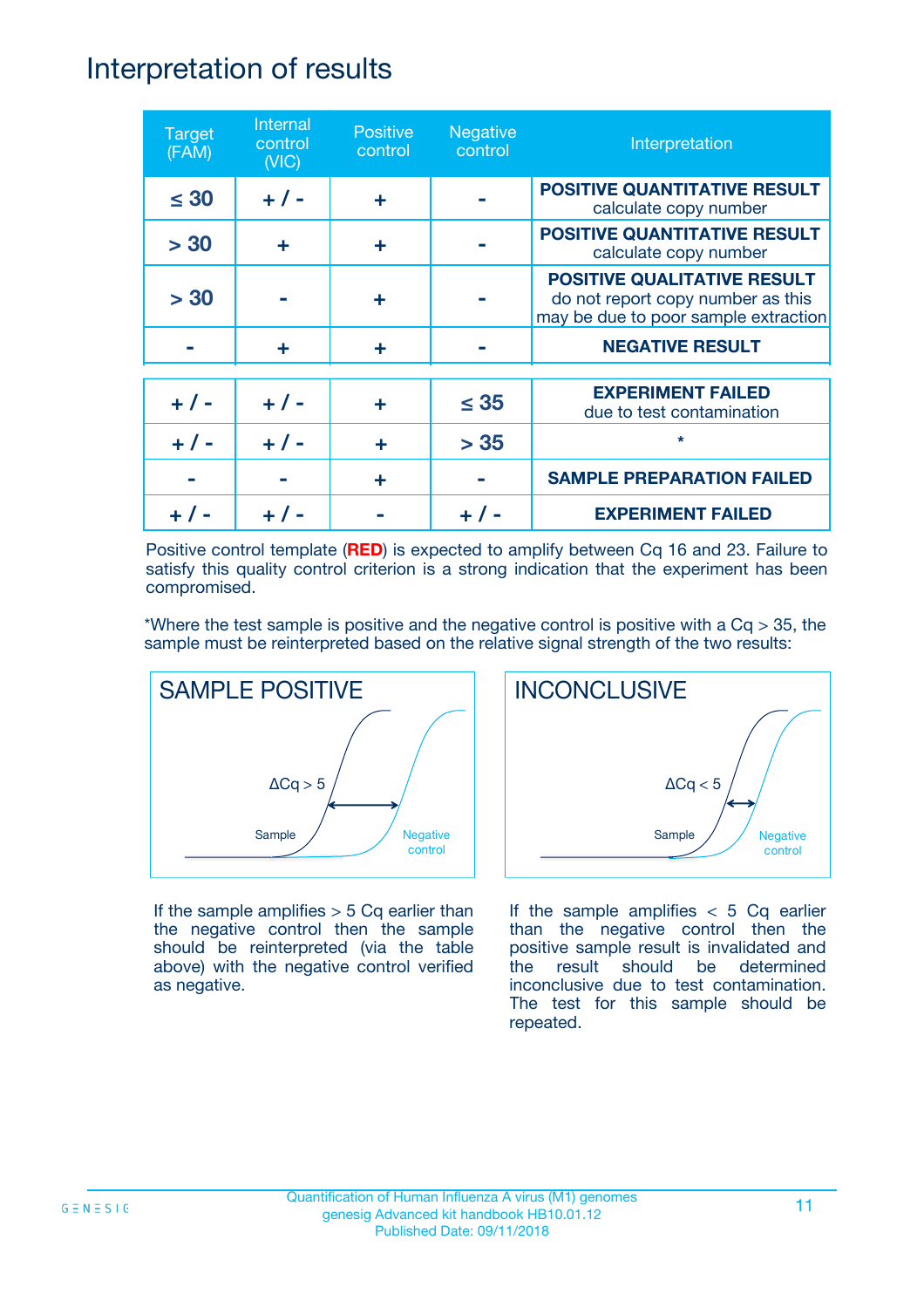### Interpretation of results

| <b>Target</b><br>(FAM) | Internal<br>control<br>(NIC) | <b>Positive</b><br>control | <b>Negative</b><br>control | Interpretation                                                                                                  |
|------------------------|------------------------------|----------------------------|----------------------------|-----------------------------------------------------------------------------------------------------------------|
| $\leq 30$              | $+ 1 -$                      | ÷                          |                            | <b>POSITIVE QUANTITATIVE RESULT</b><br>calculate copy number                                                    |
| > 30                   | ÷                            | ÷                          |                            | <b>POSITIVE QUANTITATIVE RESULT</b><br>calculate copy number                                                    |
| > 30                   |                              | ÷                          |                            | <b>POSITIVE QUALITATIVE RESULT</b><br>do not report copy number as this<br>may be due to poor sample extraction |
|                        | ÷                            | ÷                          |                            | <b>NEGATIVE RESULT</b>                                                                                          |
| $+ 1 -$                | $+ 1 -$                      | ÷                          | $\leq$ 35                  | <b>EXPERIMENT FAILED</b><br>due to test contamination                                                           |
| $+$ /                  | $+ 1 -$                      | ٠                          | > 35                       | $\star$                                                                                                         |
|                        |                              | ÷                          |                            | <b>SAMPLE PREPARATION FAILED</b>                                                                                |
|                        |                              |                            |                            | <b>EXPERIMENT FAILED</b>                                                                                        |

Positive control template (**RED**) is expected to amplify between Cq 16 and 23. Failure to satisfy this quality control criterion is a strong indication that the experiment has been compromised.

\*Where the test sample is positive and the negative control is positive with a  $Cq > 35$ , the sample must be reinterpreted based on the relative signal strength of the two results:



If the sample amplifies  $> 5$  Cq earlier than the negative control then the sample should be reinterpreted (via the table above) with the negative control verified as negative.



If the sample amplifies  $< 5$  Cq earlier than the negative control then the positive sample result is invalidated and the result should be determined inconclusive due to test contamination. The test for this sample should be repeated.